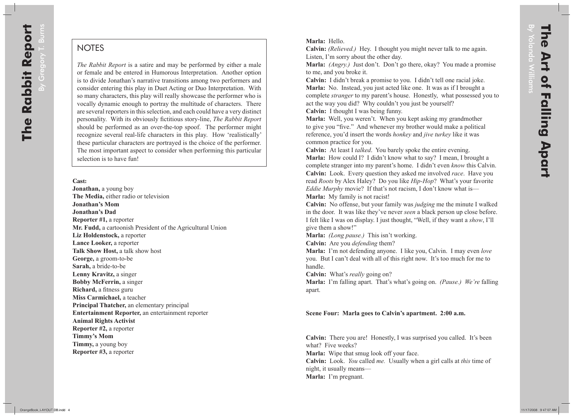By Gregory T. Burns

## **NOTES**

*The Rabbit Report* is a satire and may be performed by either a male or female and be entered in Humorous Interpretation. Another option is to divide Jonathan's narrative transitions among two performers and consider entering this play in Duet Acting or Duo Interpretation. With so many characters, this play will really showcase the performer who is vocally dynamic enough to portray the multitude of characters. There are several reporters in this selection, and each could have a very distinct personality. With its obviously fictitious story-line, *The Rabbit Report* should be performed as an over-the-top spoof. The performer might recognize several real-life characters in this play. How 'realistically' these particular characters are portrayed is the choice of the performer. The most important aspect to consider when performing this particular selection is to have fun!

## **Cast:**

**Jonathan,** a young boy **The Media,** either radio or television **Jonathan's Mom Jonathan's Dad Reporter #1,** a reporter **Mr. Fudd,** a cartoonish President of the Agricultural Union **Liz Holdenstock,** a reporter **Lance Looker,** a reporter **Talk Show Host,** a talk show host **George,** a groom-to-be **Sarah,** a bride-to-be **Lenny Kravitz,** a singer **Bobby McFerrin,** a singer **Richard,** a fitness guru **Miss Carmichael,** a teacher **Principal Thatcher,** an elementary principal **Entertainment Reporter,** an entertainment reporter **Animal Rights Activist Reporter #2,** a reporter **Timmy's Mom Timmy,** a young boy **Reporter #3,** a reporter